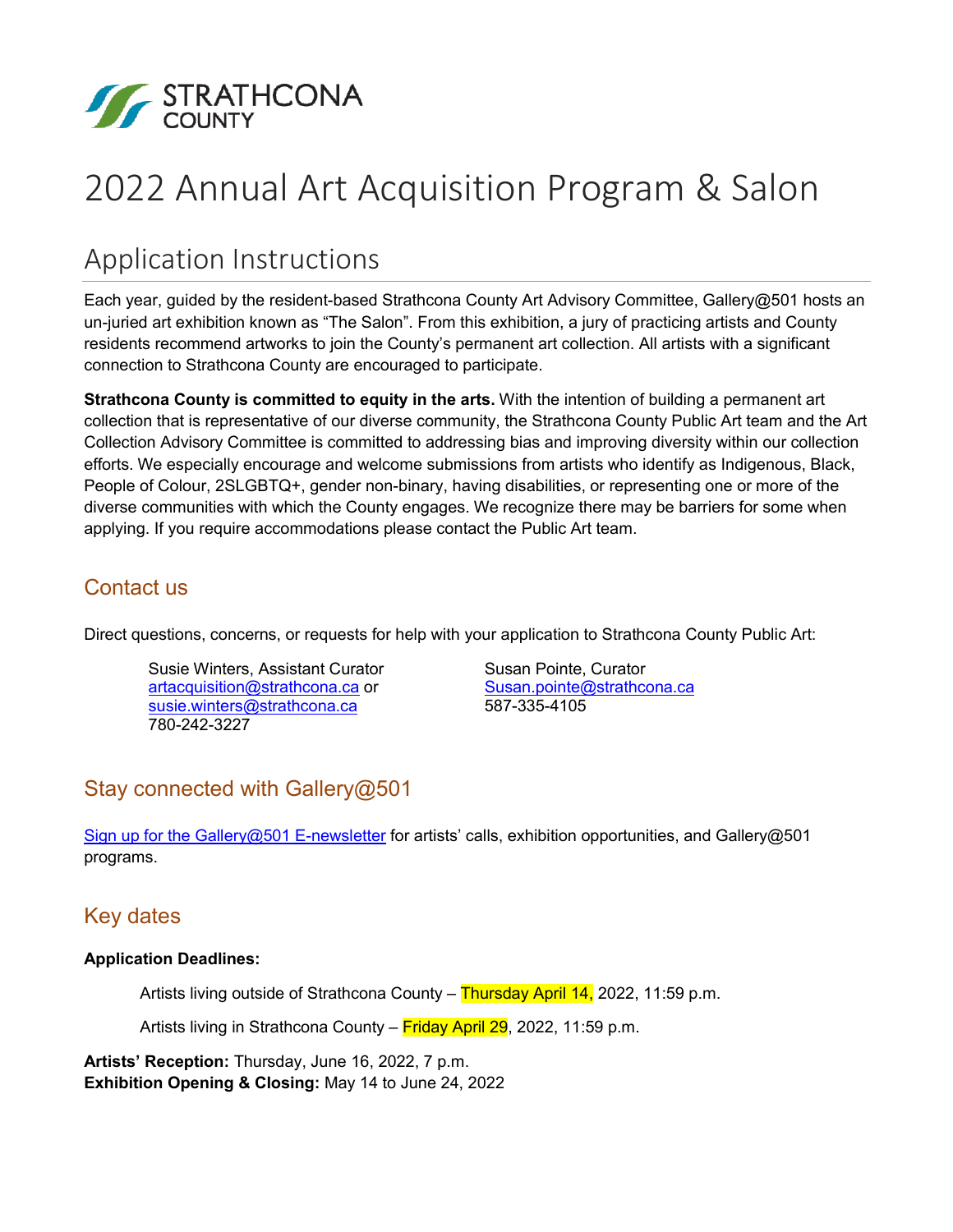

# 2022 Annual Art Acquisition Program & Salon

# Application Instructions

Each year, guided by the resident-based Strathcona County Art Advisory Committee, Gallery@501 hosts an un-juried art exhibition known as "The Salon". From this exhibition, a jury of practicing artists and County residents recommend artworks to join the County's permanent art collection. All artists with a significant connection to Strathcona County are encouraged to participate.

**Strathcona County is committed to equity in the arts.** With the intention of building a permanent art collection that is representative of our diverse community, the Strathcona County Public Art team and the Art Collection Advisory Committee is committed to addressing bias and improving diversity within our collection efforts. We especially encourage and welcome submissions from artists who identify as Indigenous, Black, People of Colour, 2SLGBTQ+, gender non-binary, having disabilities, or representing one or more of the diverse communities with which the County engages. We recognize there may be barriers for some when applying. If you require accommodations please contact the Public Art team.

#### Contact us

Direct questions, concerns, or requests for help with your application to Strathcona County Public Art:

Susie Winters, Assistant Curator [artacquisition@strathcona.ca](mailto:artacquisition@strathcona.ca) or [susie.winters@strathcona.ca](mailto:susie.winters@strathconacounty.ca) 780-242-3227

Susan Pointe, Curator [Susan.pointe@strathcona.ca](mailto:Susan.pointe@strathconacounty.ca) 587-335-4105

## Stay connected with Gallery@501

[Sign up for the Gallery@501 E-newsletter](https://www.strathcona.ca/recreation-events/arts-and-culture/public-art/#artist-contact-list) for artists' calls, exhibition opportunities, and Gallery@501 programs.

### Key dates

#### **Application Deadlines:**

Artists living outside of Strathcona County – Thursday April 14, 2022, 11:59 p.m.

Artists living in Strathcona County – Friday April 29, 2022, 11:59 p.m.

**Artists' Reception:** Thursday, June 16, 2022, 7 p.m. **Exhibition Opening & Closing:** May 14 to June 24, 2022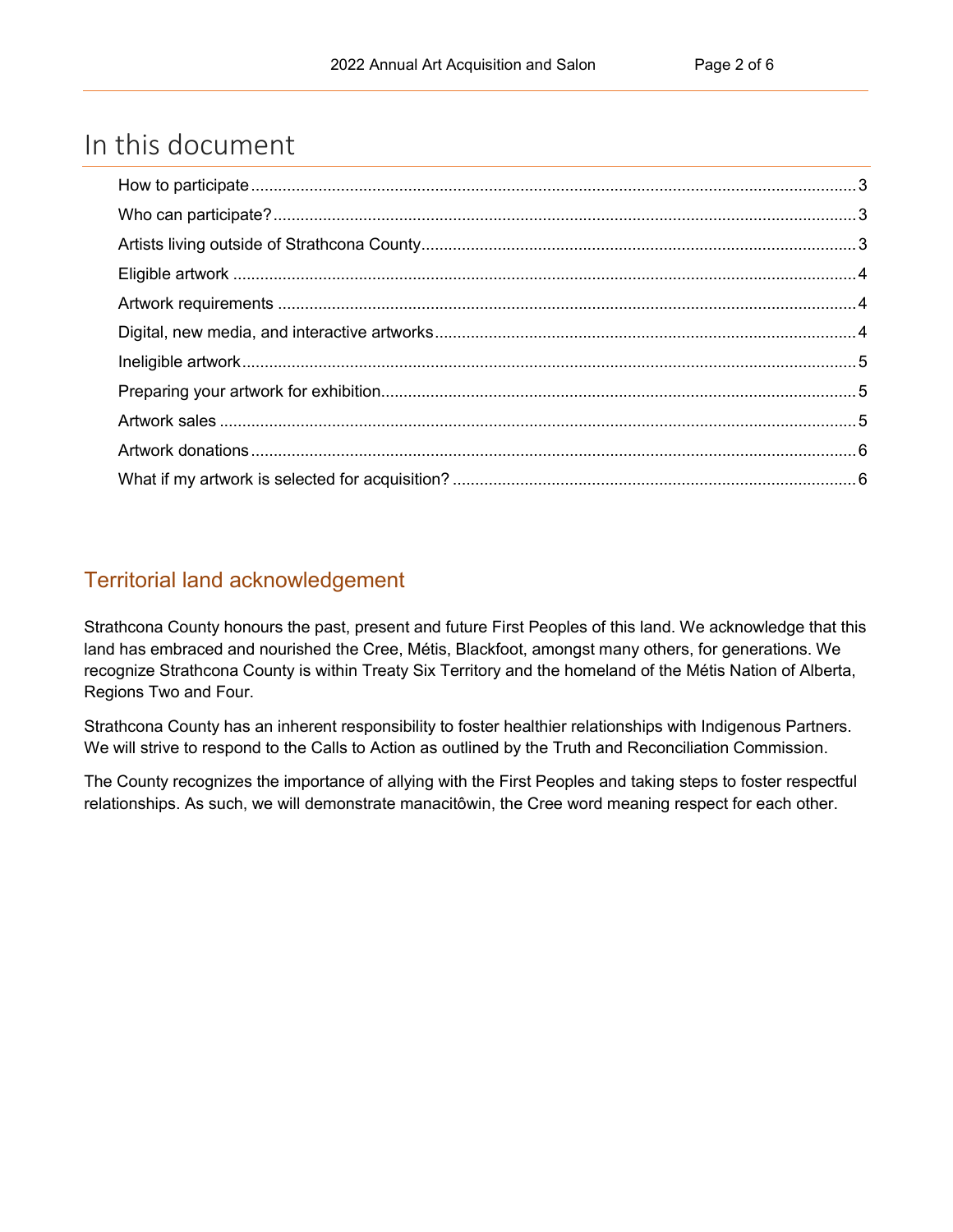## In this document

### Territorial land acknowledgement

Strathcona County honours the past, present and future First Peoples of this land. We acknowledge that this land has embraced and nourished the Cree, Métis, Blackfoot, amongst many others, for generations. We recognize Strathcona County is within Treaty Six Territory and the homeland of the Métis Nation of Alberta, Regions Two and Four.

Strathcona County has an inherent responsibility to foster healthier relationships with Indigenous Partners. We will strive to respond to the Calls to Action as outlined by the Truth and Reconciliation Commission.

The County recognizes the importance of allying with the First Peoples and taking steps to foster respectful relationships. As such, we will demonstrate manacitôwin, the Cree word meaning respect for each other.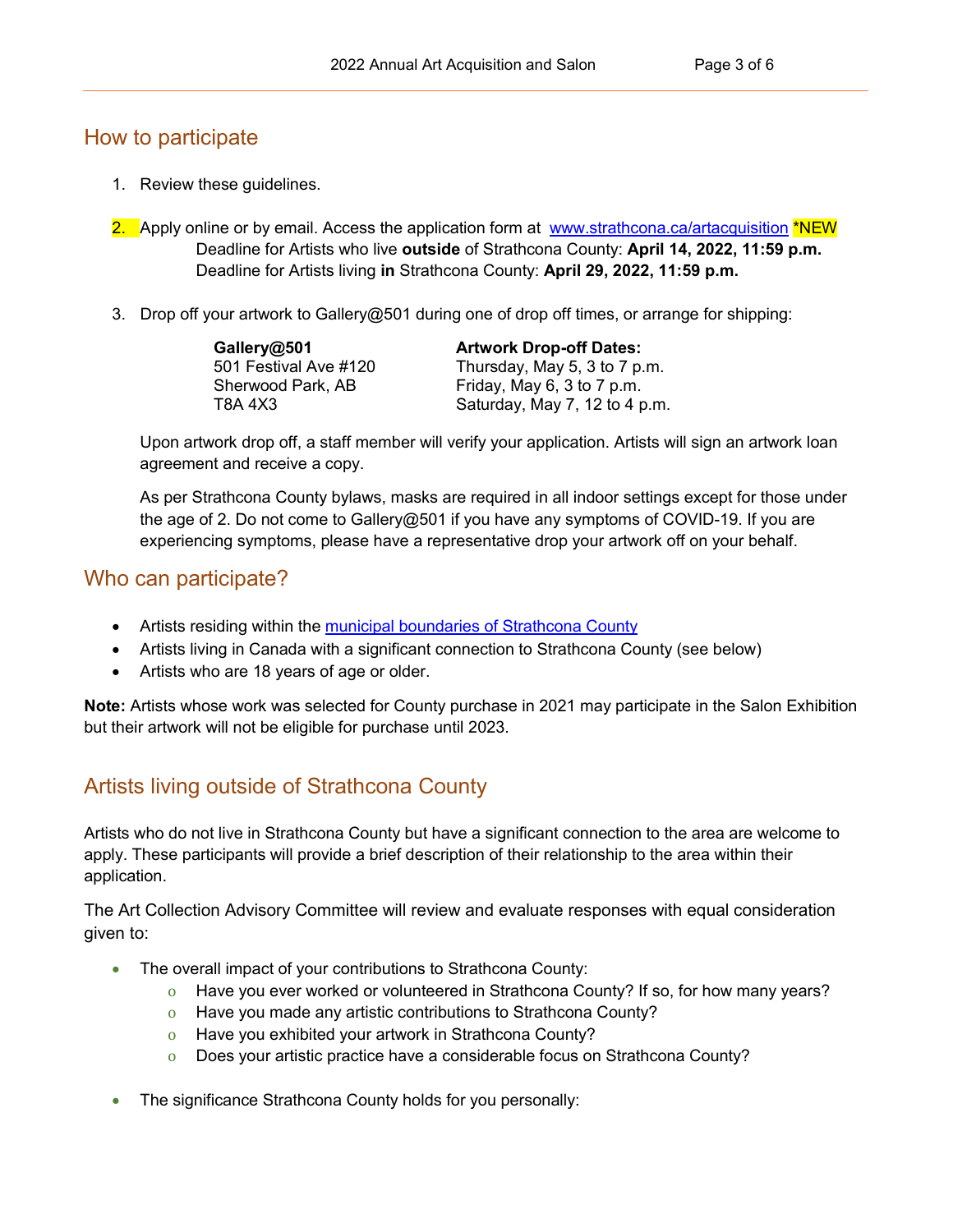#### <span id="page-2-0"></span>How to participate

- 1. Review these guidelines.
- 2. Apply online or by email. Access the application form at [www.strathcona.ca/artacquisition](http://www.strathcona.ca/artacquisition) \*NEW Deadline for Artists who live **outside** of Strathcona County: **April 14, 2022, 11:59 p.m.** Deadline for Artists living **in** Strathcona County: **April 29, 2022, 11:59 p.m.**
- 3. Drop off your artwork to Gallery@501 during one of drop off times, or arrange for shipping:

| Gallery@501           | <b>Artwork Drop-off Dates:</b> |
|-----------------------|--------------------------------|
| 501 Festival Ave #120 | Thursday, May 5, 3 to 7 p.m.   |
| Sherwood Park, AB     | Friday, May 6, 3 to 7 p.m.     |
| T8A 4X3               | Saturday, May 7, 12 to 4 p.m.  |

Upon artwork drop off, a staff member will verify your application. Artists will sign an artwork loan agreement and receive a copy.

As per Strathcona County bylaws, masks are required in all indoor settings except for those under the age of 2. Do not come to Gallery@501 if you have any symptoms of COVID-19. If you are experiencing symptoms, please have a representative drop your artwork off on your behalf.

#### <span id="page-2-1"></span>Who can participate?

- Artists residing within the [municipal boundaries of Strathcona County](https://strathconacounty.maps.arcgis.com/apps/webappviewer/index.html?id=92d2d01429474fc19336c1e83a21d7e5)
- Artists living in Canada with a significant connection to Strathcona County (see below)
- Artists who are 18 years of age or older.

**Note:** Artists whose work was selected for County purchase in 2021 may participate in the Salon Exhibition but their artwork will not be eligible for purchase until 2023.

## <span id="page-2-2"></span>Artists living outside of Strathcona County

Artists who do not live in Strathcona County but have a significant connection to the area are welcome to apply. These participants will provide a brief description of their relationship to the area within their application.

The Art Collection Advisory Committee will review and evaluate responses with equal consideration given to:

- The overall impact of your contributions to Strathcona County:
	- o Have you ever worked or volunteered in Strathcona County? If so, for how many years?
	- o Have you made any artistic contributions to Strathcona County?
	- o Have you exhibited your artwork in Strathcona County?
	- o Does your artistic practice have a considerable focus on Strathcona County?
- The significance Strathcona County holds for you personally: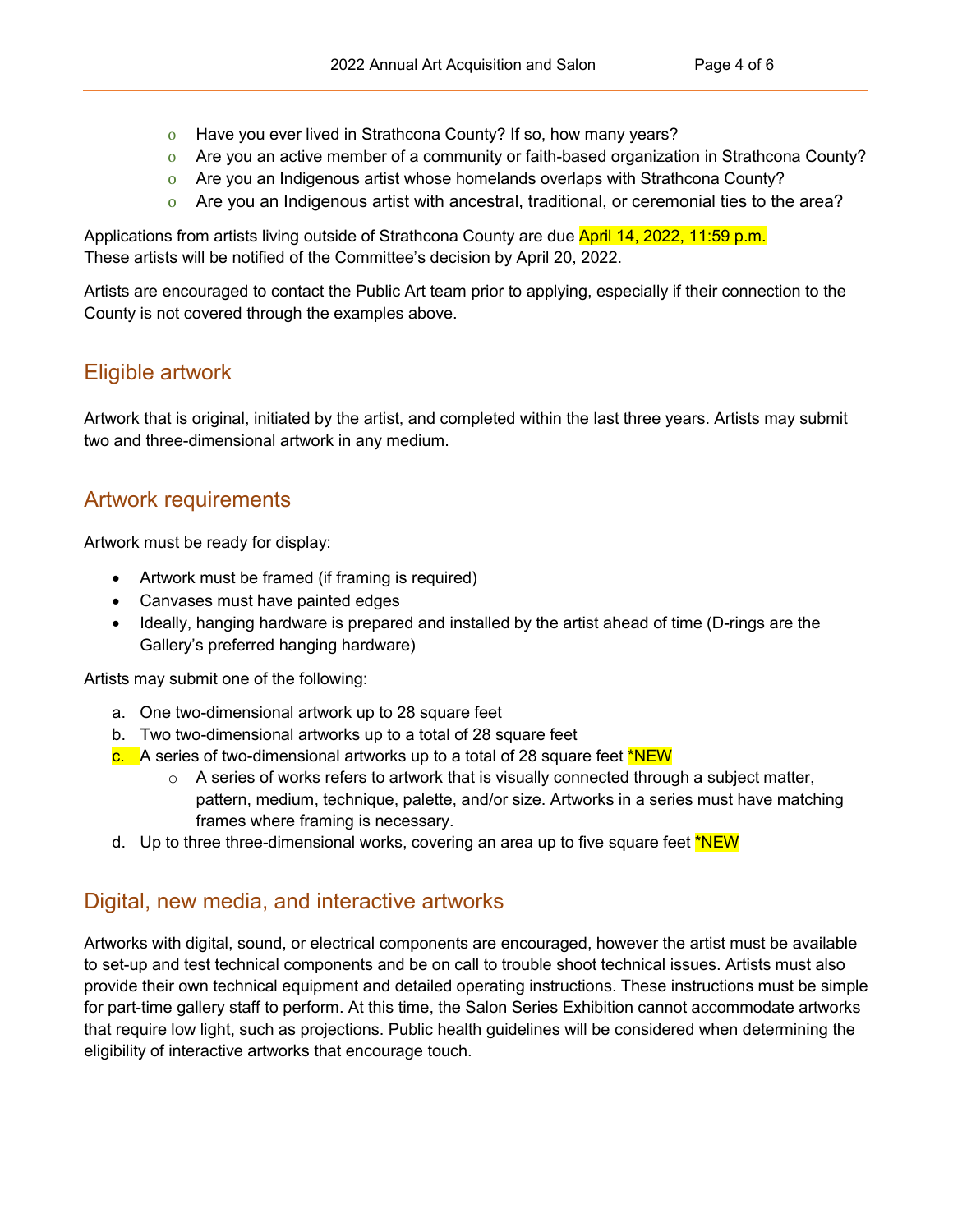- o Have you ever lived in Strathcona County? If so, how many years?
- o Are you an active member of a community or faith-based organization in Strathcona County?
- o Are you an Indigenous artist whose homelands overlaps with Strathcona County?
- o Are you an Indigenous artist with ancestral, traditional, or ceremonial ties to the area?

Applications from artists living outside of Strathcona County are due April 14, 2022, 11:59 p.m. These artists will be notified of the Committee's decision by April 20, 2022.

Artists are encouraged to contact the Public Art team prior to applying, especially if their connection to the County is not covered through the examples above.

#### <span id="page-3-0"></span>Eligible artwork

Artwork that is original, initiated by the artist, and completed within the last three years. Artists may submit two and three-dimensional artwork in any medium.

#### <span id="page-3-1"></span>Artwork requirements

Artwork must be ready for display:

- Artwork must be framed (if framing is required)
- Canvases must have painted edges
- Ideally, hanging hardware is prepared and installed by the artist ahead of time (D-rings are the Gallery's preferred hanging hardware)

Artists may submit one of the following:

- a. One two-dimensional artwork up to 28 square feet
- b. Two two-dimensional artworks up to a total of 28 square feet
- c. A series of two-dimensional artworks up to a total of 28 square feet \*NEW
	- $\circ$  A series of works refers to artwork that is visually connected through a subject matter, pattern, medium, technique, palette, and/or size. Artworks in a series must have matching frames where framing is necessary.
- d. Up to three three-dimensional works, covering an area up to five square feet \*NEW

#### <span id="page-3-2"></span>Digital, new media, and interactive artworks

Artworks with digital, sound, or electrical components are encouraged, however the artist must be available to set-up and test technical components and be on call to trouble shoot technical issues. Artists must also provide their own technical equipment and detailed operating instructions. These instructions must be simple for part-time gallery staff to perform. At this time, the Salon Series Exhibition cannot accommodate artworks that require low light, such as projections. Public health guidelines will be considered when determining the eligibility of interactive artworks that encourage touch.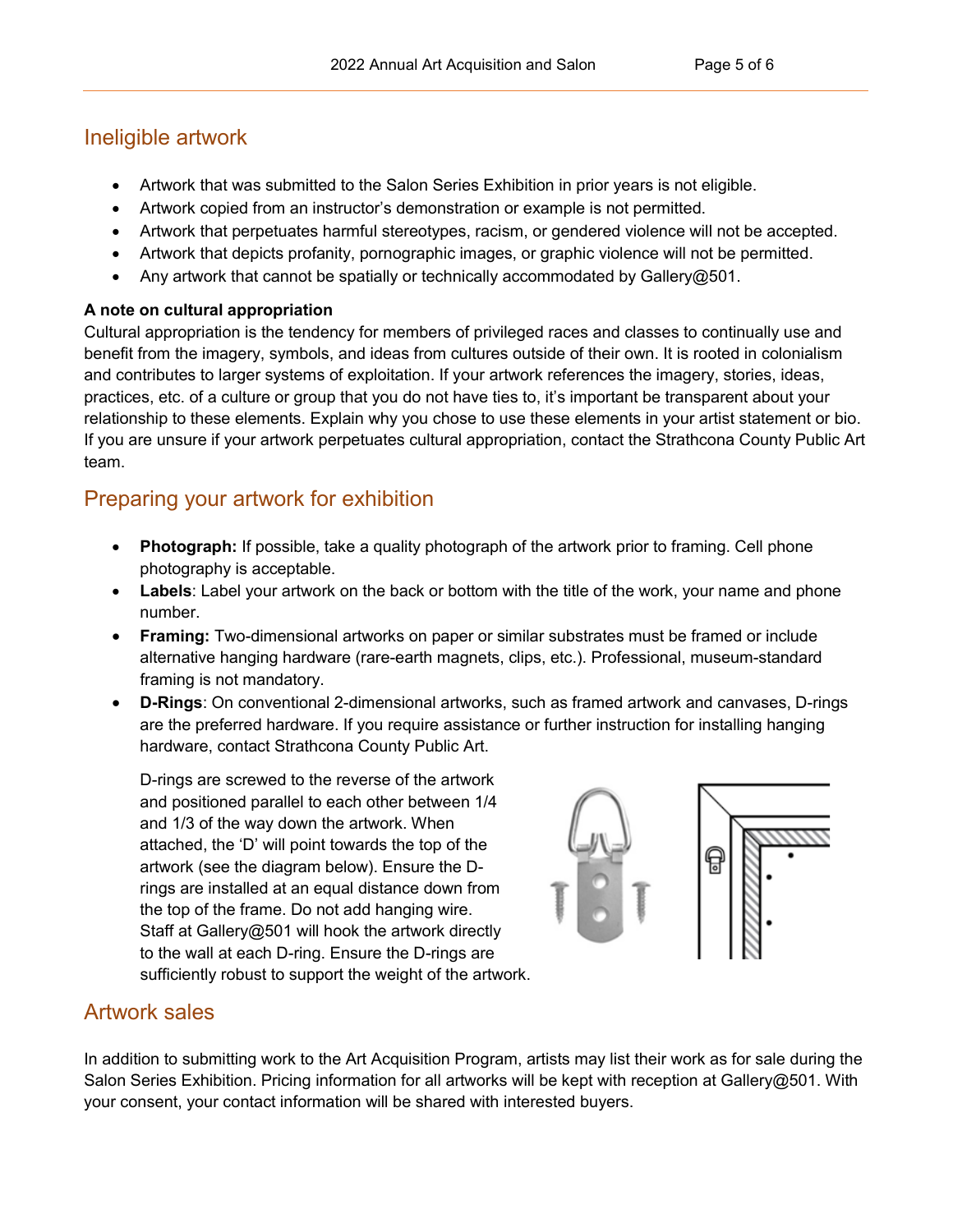#### <span id="page-4-0"></span>Ineligible artwork

- Artwork that was submitted to the Salon Series Exhibition in prior years is not eligible.
- Artwork copied from an instructor's demonstration or example is not permitted.
- Artwork that perpetuates harmful stereotypes, racism, or gendered violence will not be accepted.
- Artwork that depicts profanity, pornographic images, or graphic violence will not be permitted.
- Any artwork that cannot be spatially or technically accommodated by Gallery@501.

#### **A note on cultural appropriation**

Cultural appropriation is the tendency for members of privileged races and classes to continually use and benefit from the imagery, symbols, and ideas from cultures outside of their own. It is rooted in colonialism and contributes to larger systems of exploitation. If your artwork references the imagery, stories, ideas, practices, etc. of a culture or group that you do not have ties to, it's important be transparent about your relationship to these elements. Explain why you chose to use these elements in your artist statement or bio. If you are unsure if your artwork perpetuates cultural appropriation, contact the Strathcona County Public Art team.

## <span id="page-4-1"></span>Preparing your artwork for exhibition

- **Photograph:** If possible, take a quality photograph of the artwork prior to framing. Cell phone photography is acceptable.
- **Labels**: Label your artwork on the back or bottom with the title of the work, your name and phone number.
- **Framing:** Two-dimensional artworks on paper or similar substrates must be framed or include alternative hanging hardware (rare-earth magnets, clips, etc.). Professional, museum-standard framing is not mandatory.
- **D-Rings**: On conventional 2-dimensional artworks, such as framed artwork and canvases, D-rings are the preferred hardware. If you require assistance or further instruction for installing hanging hardware, contact Strathcona County Public Art.

D-rings are screwed to the reverse of the artwork and positioned parallel to each other between 1/4 and 1/3 of the way down the artwork. When attached, the 'D' will point towards the top of the artwork (see the diagram below). Ensure the Drings are installed at an equal distance down from the top of the frame. Do not add hanging wire. Staff at Gallery@501 will hook the artwork directly to the wall at each D-ring. Ensure the D-rings are sufficiently robust to support the weight of the artwork.

<span id="page-4-3"></span><span id="page-4-2"></span>

### Artwork sales

In addition to submitting work to the Art Acquisition Program, artists may list their work as for sale during the Salon Series Exhibition. Pricing information for all artworks will be kept with reception at Gallery@501. With your consent, your contact information will be shared with interested buyers.